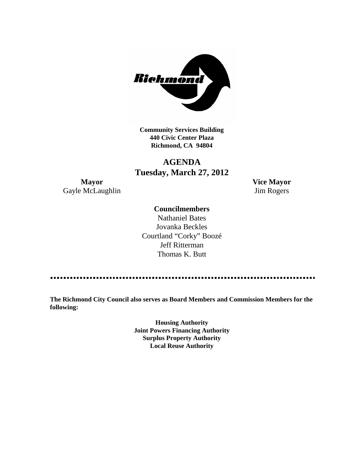

**Community Services Building 440 Civic Center Plaza Richmond, CA 94804**

# **AGENDA Tuesday, March 27, 2012**

**Mayor Vice Mayor** Gayle McLaughlin Jim Rogers

#### **Councilmembers**

Nathaniel Bates Jovanka Beckles Courtland "Corky" Boozé Jeff Ritterman Thomas K. Butt

**The Richmond City Council also serves as Board Members and Commission Members for the following:**

> **Housing Authority Joint Powers Financing Authority Surplus Property Authority Local Reuse Authority**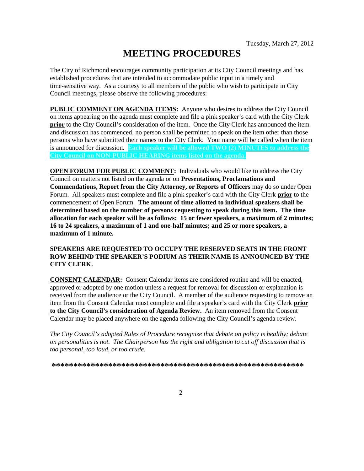# **MEETING PROCEDURES**

The City of Richmond encourages community participation at its City Council meetings and has established procedures that are intended to accommodate public input in a timely and time-sensitive way. As a courtesy to all members of the public who wish to participate in City Council meetings, please observe the following procedures:

**PUBLIC COMMENT ON AGENDA ITEMS:** Anyone who desires to address the City Council on items appearing on the agenda must complete and file a pink speaker's card with the City Clerk **prior** to the City Council's consideration of the item. Once the City Clerk has announced the item and discussion has commenced, no person shall be permitted to speak on the item other than those persons who have submitted their names to the City Clerk. Your name will be called when the item is announced for discussion. **Each speaker will be allowed TWO (2) MINUTES to address the City Council on NON-PUBLIC HEARING items listed on the agenda.**

**OPEN FORUM FOR PUBLIC COMMENT:** Individuals who would like to address the City Council on matters not listed on the agenda or on **Presentations, Proclamations and Commendations, Report from the City Attorney, or Reports of Officers** may do so under Open Forum. All speakers must complete and file a pink speaker's card with the City Clerk **prior** to the commencement of Open Forum. **The amount of time allotted to individual speakers shall be determined based on the number of persons requesting to speak during this item. The time allocation for each speaker will be as follows: 15 or fewer speakers, a maximum of 2 minutes; 16 to 24 speakers, a maximum of 1 and one-half minutes; and 25 or more speakers, a maximum of 1 minute.**

#### **SPEAKERS ARE REQUESTED TO OCCUPY THE RESERVED SEATS IN THE FRONT ROW BEHIND THE SPEAKER'S PODIUM AS THEIR NAME IS ANNOUNCED BY THE CITY CLERK.**

**CONSENT CALENDAR:** Consent Calendar items are considered routine and will be enacted, approved or adopted by one motion unless a request for removal for discussion or explanation is received from the audience or the City Council. A member of the audience requesting to remove an item from the Consent Calendar must complete and file a speaker's card with the City Clerk **prior to the City Council's consideration of Agenda Review.** An item removed from the Consent Calendar may be placed anywhere on the agenda following the City Council's agenda review.

*The City Council's adopted Rules of Procedure recognize that debate on policy is healthy; debate on personalities is not. The Chairperson has the right and obligation to cut off discussion that is too personal, too loud, or too crude.*

**\*\*\*\*\*\*\*\*\*\*\*\*\*\*\*\*\*\*\*\*\*\*\*\*\*\*\*\*\*\*\*\*\*\*\*\*\*\*\*\*\*\*\*\*\*\*\*\*\*\*\*\*\*\*\*\*\*\***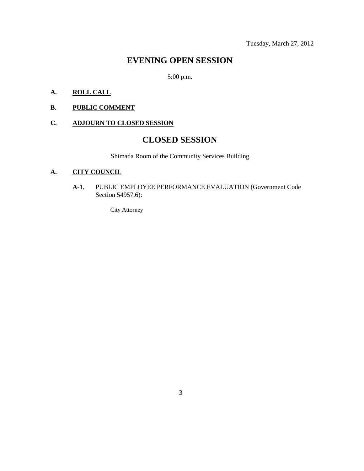Tuesday, March 27, 2012

### **EVENING OPEN SESSION**

5:00 p.m.

### **A. ROLL CALL**

**B. PUBLIC COMMENT**

### **C. ADJOURN TO CLOSED SESSION**

## **CLOSED SESSION**

Shimada Room of the Community Services Building

#### **A. CITY COUNCIL**

**A-1.** PUBLIC EMPLOYEE PERFORMANCE EVALUATION (Government Code Section 54957.6):

City Attorney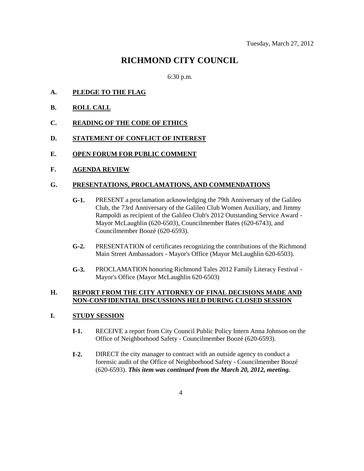### **RICHMOND CITY COUNCIL**

6:30 p.m.

- **A. PLEDGE TO THE FLAG**
- **B. ROLL CALL**
- **C. READING OF THE CODE OF ETHICS**
- **D. STATEMENT OF CONFLICT OF INTEREST**
- **E. OPEN FORUM FOR PUBLIC COMMENT**
- **F. AGENDA REVIEW**

#### **G. PRESENTATIONS, PROCLAMATIONS, AND COMMENDATIONS**

- **G-1.** PRESENT a proclamation acknowledging the 79th Anniversary of the Galileo Club, the 73rd Anniversary of the Galileo Club Women Auxiliary, and Jimmy Rampoldi as recipient of the Galileo Club's 2012 Outstanding Service Award - Mayor McLaughlin (620-6503), Councilmember Bates (620-6743), and Councilmember Boozé (620-6593).
- **G-2.** PRESENTATION of certificates recognizing the contributions of the Richmond Main Street Ambassadors - Mayor's Office (Mayor McLaughlin 620-6503).
- **G-3.** PROCLAMATION honoring Richmond Tales 2012 Family Literacy Festival Mayor's Office (Mayor McLaughlin 620-6503)

#### **H. REPORT FROM THE CITY ATTORNEY OF FINAL DECISIONS MADE AND NON-CONFIDENTIAL DISCUSSIONS HELD DURING CLOSED SESSION**

#### **I. STUDY SESSION**

- **I-1.** RECEIVE a report from City Council Public Policy Intern Anna Johnson on the Office of Neighborhood Safety - Councilmember Boozé (620-6593).
- **I-2.** DIRECT the city manager to contract with an outside agency to conduct a forensic audit of the Office of Neighborhood Safety - Councilmember Boozé (620-6593). *This item was continued from the March 20, 2012, meeting.*